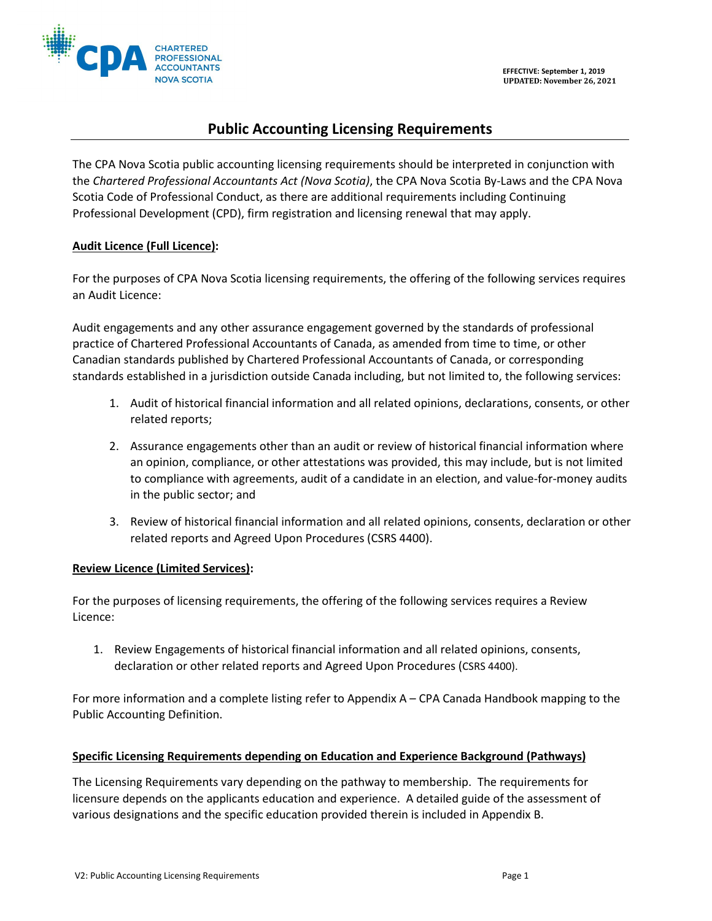

# **Public Accounting Licensing Requirements**

The CPA Nova Scotia public accounting licensing requirements should be interpreted in conjunction with the *Chartered Professional Accountants Act (Nova Scotia)*, the CPA Nova Scotia By-Laws and the CPA Nova Scotia Code of Professional Conduct, as there are additional requirements including Continuing Professional Development (CPD), firm registration and licensing renewal that may apply.

## **Audit Licence (Full Licence):**

For the purposes of CPA Nova Scotia licensing requirements, the offering of the following services requires an Audit Licence:

Audit engagements and any other assurance engagement governed by the standards of professional practice of Chartered Professional Accountants of Canada, as amended from time to time, or other Canadian standards published by Chartered Professional Accountants of Canada, or corresponding standards established in a jurisdiction outside Canada including, but not limited to, the following services:

- 1. Audit of historical financial information and all related opinions, declarations, consents, or other related reports;
- 2. Assurance engagements other than an audit or review of historical financial information where an opinion, compliance, or other attestations was provided, this may include, but is not limited to compliance with agreements, audit of a candidate in an election, and value-for-money audits in the public sector; and
- 3. Review of historical financial information and all related opinions, consents, declaration or other related reports and Agreed Upon Procedures (CSRS 4400).

## **Review Licence (Limited Services):**

For the purposes of licensing requirements, the offering of the following services requires a Review Licence:

1. Review Engagements of historical financial information and all related opinions, consents, declaration or other related reports and Agreed Upon Procedures (CSRS 4400).

For more information and a complete listing refer to Appendix A – CPA Canada Handbook mapping to the Public Accounting Definition.

## **Specific Licensing Requirements depending on Education and Experience Background (Pathways)**

The Licensing Requirements vary depending on the pathway to membership. The requirements for licensure depends on the applicants education and experience. A detailed guide of the assessment of various designations and the specific education provided therein is included in Appendix B.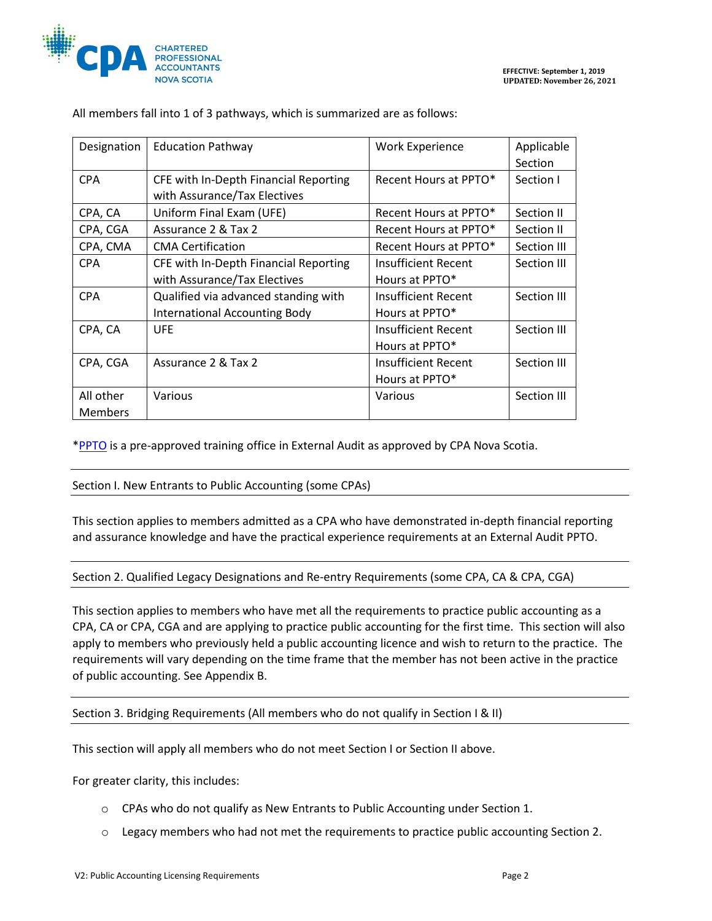

| Designation    | <b>Education Pathway</b>              | <b>Work Experience</b>     | Applicable     |
|----------------|---------------------------------------|----------------------------|----------------|
|                |                                       |                            | <b>Section</b> |
| <b>CPA</b>     | CFE with In-Depth Financial Reporting | Recent Hours at PPTO*      | Section I      |
|                | with Assurance/Tax Electives          |                            |                |
| CPA, CA        | Uniform Final Exam (UFE)              | Recent Hours at PPTO*      | Section II     |
| CPA, CGA       | Assurance 2 & Tax 2                   | Recent Hours at PPTO*      | Section II     |
| CPA, CMA       | <b>CMA Certification</b>              | Recent Hours at PPTO*      | Section III    |
| <b>CPA</b>     | CFE with In-Depth Financial Reporting | Insufficient Recent        | Section III    |
|                | with Assurance/Tax Electives          | Hours at PPTO*             |                |
| <b>CPA</b>     | Qualified via advanced standing with  | <b>Insufficient Recent</b> | Section III    |
|                | <b>International Accounting Body</b>  | Hours at PPTO*             |                |
| CPA, CA        | <b>UFE</b>                            | Insufficient Recent        | Section III    |
|                |                                       | Hours at PPTO*             |                |
| CPA, CGA       | Assurance 2 & Tax 2                   | <b>Insufficient Recent</b> | Section III    |
|                |                                       | Hours at PPTO*             |                |
| All other      | Various                               | Various                    | Section III    |
| <b>Members</b> |                                       |                            |                |

All members fall into 1 of 3 pathways, which is summarized are as follows:

[\\*PPTO](https://www.cpaatlantic.ca/ppr-offices) is a pre-approved training office in External Audit as approved by CPA Nova Scotia.

#### Section I. New Entrants to Public Accounting (some CPAs)

This section applies to members admitted as a CPA who have demonstrated in-depth financial reporting and assurance knowledge and have the practical experience requirements at an External Audit PPTO.

#### Section 2. Qualified Legacy Designations and Re-entry Requirements (some CPA, CA & CPA, CGA)

This section applies to members who have met all the requirements to practice public accounting as a CPA, CA or CPA, CGA and are applying to practice public accounting for the first time. This section will also apply to members who previously held a public accounting licence and wish to return to the practice. The requirements will vary depending on the time frame that the member has not been active in the practice of public accounting. See Appendix B.

#### Section 3. Bridging Requirements (All members who do not qualify in Section I & II)

This section will apply all members who do not meet Section I or Section II above.

For greater clarity, this includes:

- o CPAs who do not qualify as New Entrants to Public Accounting under Section 1.
- o Legacy members who had not met the requirements to practice public accounting Section 2.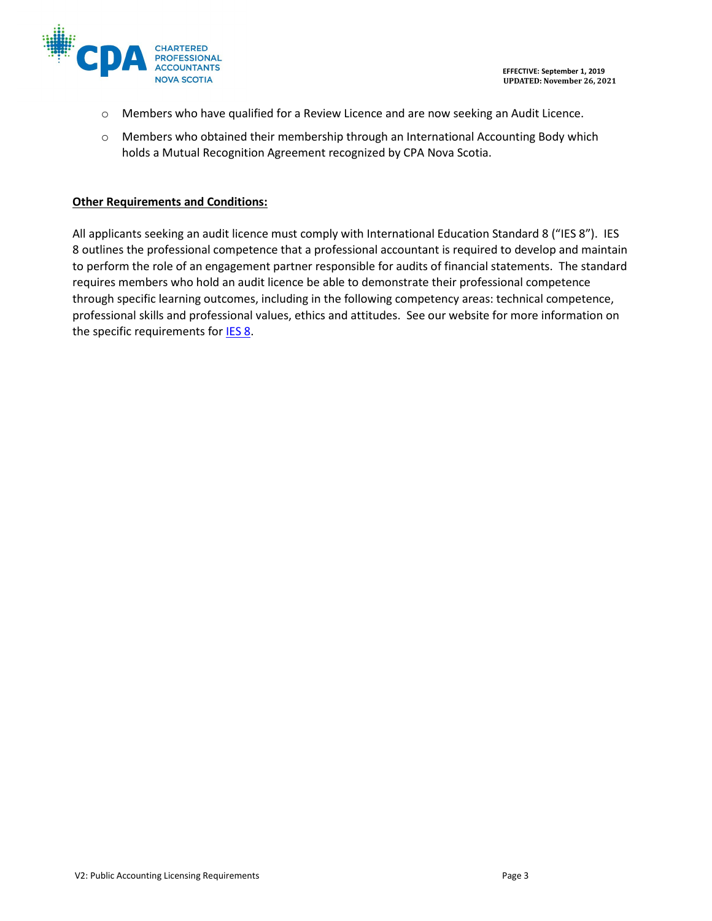



- o Members who have qualified for a Review Licence and are now seeking an Audit Licence.
- o Members who obtained their membership through an International Accounting Body which holds a Mutual Recognition Agreement recognized by CPA Nova Scotia.

## **Other Requirements and Conditions:**

All applicants seeking an audit licence must comply with International Education Standard 8 ("IES 8"). IES 8 outlines the professional competence that a professional accountant is required to develop and maintain to perform the role of an engagement partner responsible for audits of financial statements. The standard requires members who hold an audit licence be able to demonstrate their professional competence through specific learning outcomes, including in the following competency areas: technical competence, professional skills and professional values, ethics and attitudes. See our website for more information on the specific requirements for **IES 8**.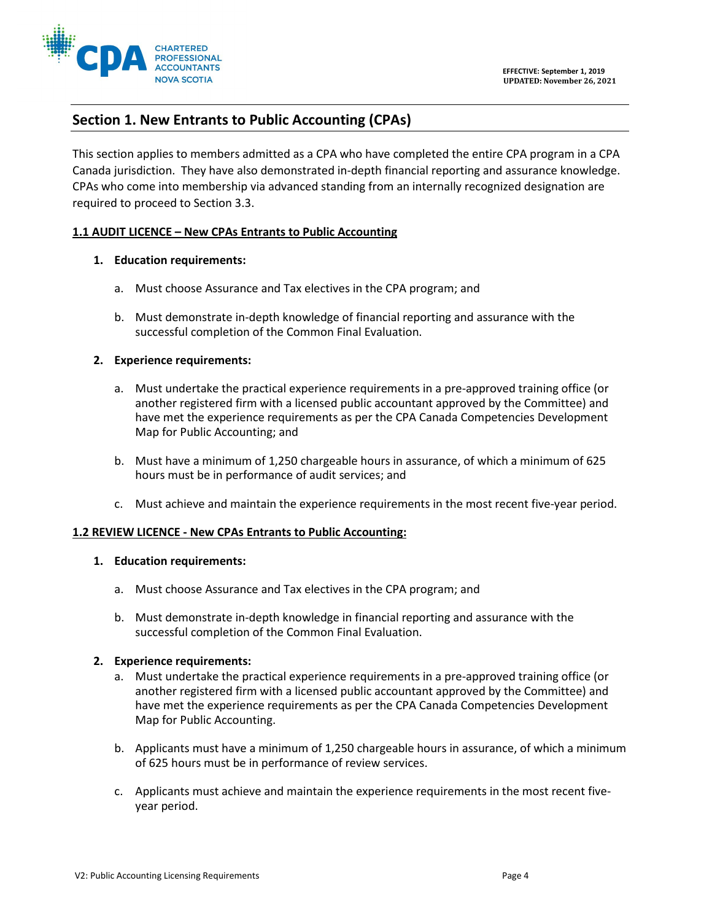

## **Section 1. New Entrants to Public Accounting (CPAs)**

This section applies to members admitted as a CPA who have completed the entire CPA program in a CPA Canada jurisdiction. They have also demonstrated in-depth financial reporting and assurance knowledge. CPAs who come into membership via advanced standing from an internally recognized designation are required to proceed to Section 3.3.

#### **1.1 AUDIT LICENCE – New CPAs Entrants to Public Accounting**

### **1. Education requirements:**

- a. Must choose Assurance and Tax electives in the CPA program; and
- b. Must demonstrate in-depth knowledge of financial reporting and assurance with the successful completion of the Common Final Evaluation.

#### **2. Experience requirements:**

- a. Must undertake the practical experience requirements in a pre-approved training office (or another registered firm with a licensed public accountant approved by the Committee) and have met the experience requirements as per the CPA Canada Competencies Development Map for Public Accounting; and
- b. Must have a minimum of 1,250 chargeable hours in assurance, of which a minimum of 625 hours must be in performance of audit services; and
- c. Must achieve and maintain the experience requirements in the most recent five-year period.

#### **1.2 REVIEW LICENCE - New CPAs Entrants to Public Accounting:**

#### **1. Education requirements:**

- a. Must choose Assurance and Tax electives in the CPA program; and
- b. Must demonstrate in-depth knowledge in financial reporting and assurance with the successful completion of the Common Final Evaluation.

#### **2. Experience requirements:**

- a. Must undertake the practical experience requirements in a pre-approved training office (or another registered firm with a licensed public accountant approved by the Committee) and have met the experience requirements as per the CPA Canada Competencies Development Map for Public Accounting.
- b. Applicants must have a minimum of 1,250 chargeable hours in assurance, of which a minimum of 625 hours must be in performance of review services.
- c. Applicants must achieve and maintain the experience requirements in the most recent fiveyear period.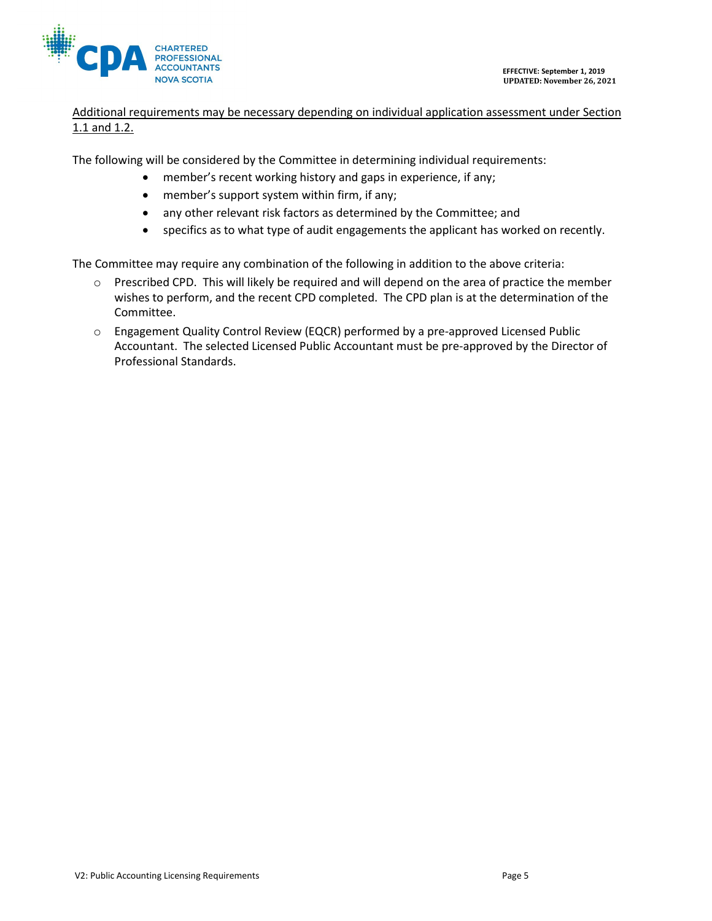

## Additional requirements may be necessary depending on individual application assessment under Section 1.1 and 1.2.

The following will be considered by the Committee in determining individual requirements:

- member's recent working history and gaps in experience, if any;
- member's support system within firm, if any;
- any other relevant risk factors as determined by the Committee; and
- specifics as to what type of audit engagements the applicant has worked on recently.

The Committee may require any combination of the following in addition to the above criteria:

- o Prescribed CPD. This will likely be required and will depend on the area of practice the member wishes to perform, and the recent CPD completed. The CPD plan is at the determination of the Committee.
- o Engagement Quality Control Review (EQCR) performed by a pre-approved Licensed Public Accountant. The selected Licensed Public Accountant must be pre-approved by the Director of Professional Standards.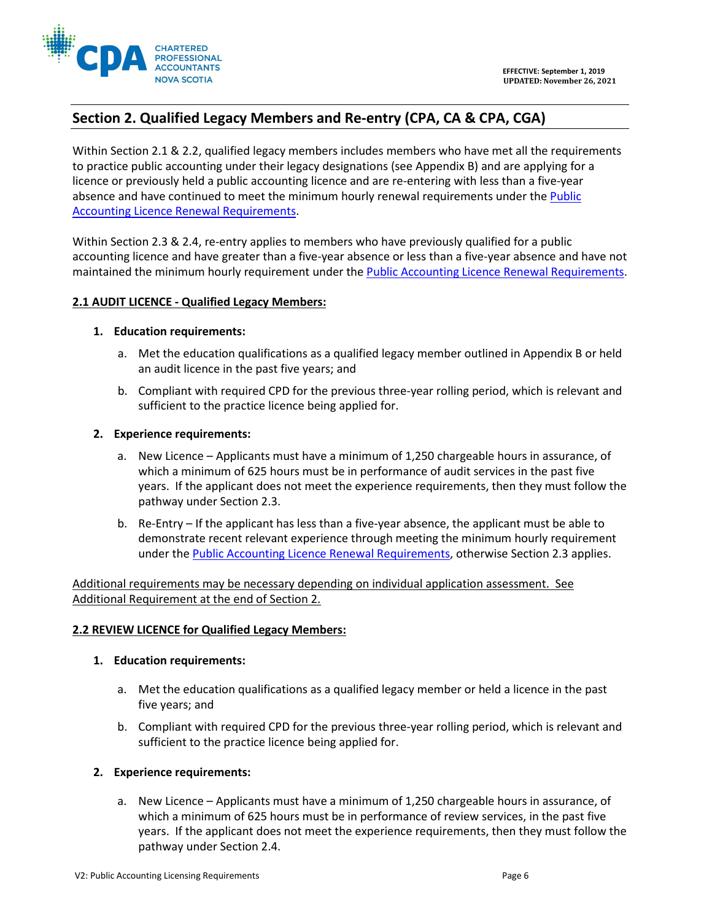

# **Section 2. Qualified Legacy Members and Re-entry (CPA, CA & CPA, CGA)**

Within Section 2.1 & 2.2, qualified legacy members includes members who have met all the requirements to practice public accounting under their legacy designations (see Appendix B) and are applying for a licence or previously held a public accounting licence and are re-entering with less than a five-year absence and have continued to meet the minimum hourly renewal requirements under the [Public](https://www.cpans.ca/WEB/Documents/Firm%20Registration/Public%20Accounting%20Licensing%20Renewal%20Requirements%20V1%20Effective%20Sept%201%202019.pdf)  [Accounting Licence Renewal Requirements.](https://www.cpans.ca/WEB/Documents/Firm%20Registration/Public%20Accounting%20Licensing%20Renewal%20Requirements%20V1%20Effective%20Sept%201%202019.pdf)

Within Section 2.3 & 2.4, re-entry applies to members who have previously qualified for a public accounting licence and have greater than a five-year absence or less than a five-year absence and have not maintained the minimum hourly requirement under the [Public Accounting Licence Renewal Requirements.](https://www.cpans.ca/WEB/Documents/Firm%20Registration/Public%20Accounting%20Licensing%20Renewal%20Requirements%20V1%20Effective%20Sept%201%202019.pdf)

### **2.1 AUDIT LICENCE - Qualified Legacy Members:**

#### **1. Education requirements:**

- a. Met the education qualifications as a qualified legacy member outlined in Appendix B or held an audit licence in the past five years; and
- b. Compliant with required CPD for the previous three-year rolling period, which is relevant and sufficient to the practice licence being applied for.

### **2. Experience requirements:**

- a. New Licence Applicants must have a minimum of 1,250 chargeable hours in assurance, of which a minimum of 625 hours must be in performance of audit services in the past five years. If the applicant does not meet the experience requirements, then they must follow the pathway under Section 2.3.
- b. Re-Entry If the applicant has less than a five-year absence, the applicant must be able to demonstrate recent relevant experience through meeting the minimum hourly requirement under the Public [Accounting Licence Renewal Requirements,](https://www.cpans.ca/WEB/Documents/Firm%20Registration/Public%20Accounting%20Licensing%20Renewal%20Requirements%20V1%20Effective%20Sept%201%202019.pdf) otherwise Section 2.3 applies.

Additional requirements may be necessary depending on individual application assessment. See Additional Requirement at the end of Section 2.

## **2.2 REVIEW LICENCE for Qualified Legacy Members:**

#### **1. Education requirements:**

- a. Met the education qualifications as a qualified legacy member or held a licence in the past five years; and
- b. Compliant with required CPD for the previous three-year rolling period, which is relevant and sufficient to the practice licence being applied for.

#### **2. Experience requirements:**

a. New Licence – Applicants must have a minimum of 1,250 chargeable hours in assurance, of which a minimum of 625 hours must be in performance of review services, in the past five years. If the applicant does not meet the experience requirements, then they must follow the pathway under Section 2.4.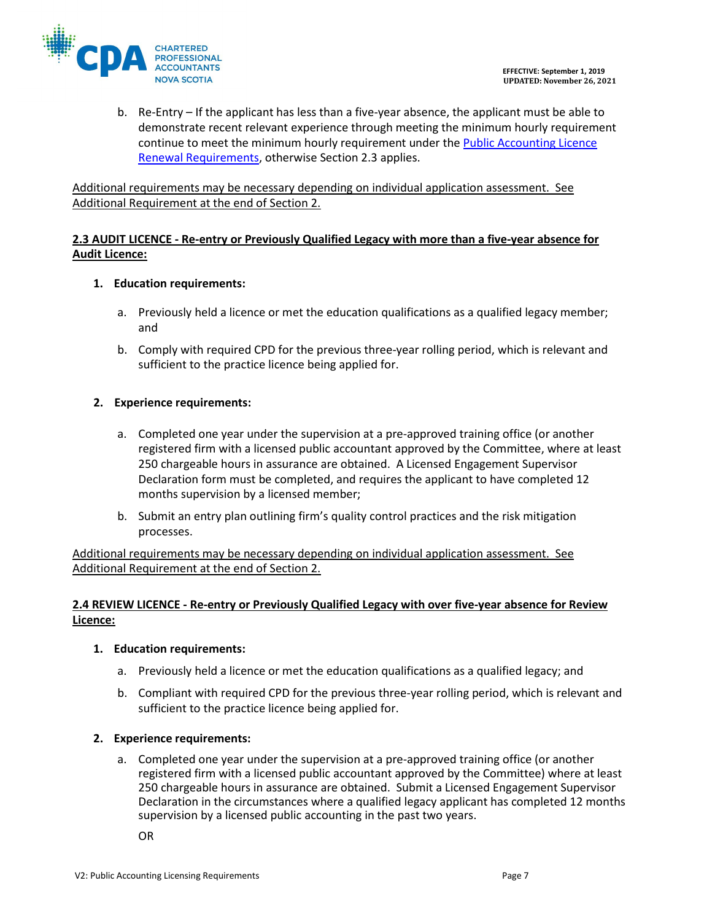

b. Re-Entry – If the applicant has less than a five-year absence, the applicant must be able to demonstrate recent relevant experience through meeting the minimum hourly requirement continue to meet the minimum hourly requirement under the [Public Accounting Licence](https://www.cpans.ca/WEB/Documents/Firm%20Registration/Public%20Accounting%20Licensing%20Renewal%20Requirements%20V1%20Effective%20Sept%201%202019.pdf)  [Renewal Requirements,](https://www.cpans.ca/WEB/Documents/Firm%20Registration/Public%20Accounting%20Licensing%20Renewal%20Requirements%20V1%20Effective%20Sept%201%202019.pdf) otherwise Section 2.3 applies.

Additional requirements may be necessary depending on individual application assessment. See Additional Requirement at the end of Section 2.

## **2.3 AUDIT LICENCE - Re-entry or Previously Qualified Legacy with more than a five-year absence for Audit Licence:**

## **1. Education requirements:**

- a. Previously held a licence or met the education qualifications as a qualified legacy member; and
- b. Comply with required CPD for the previous three-year rolling period, which is relevant and sufficient to the practice licence being applied for.

### **2. Experience requirements:**

- a. Completed one year under the supervision at a pre-approved training office (or another registered firm with a licensed public accountant approved by the Committee, where at least 250 chargeable hours in assurance are obtained. A Licensed Engagement Supervisor Declaration form must be completed, and requires the applicant to have completed 12 months supervision by a licensed member;
- b. Submit an entry plan outlining firm's quality control practices and the risk mitigation processes.

Additional requirements may be necessary depending on individual application assessment. See Additional Requirement at the end of Section 2.

## **2.4 REVIEW LICENCE - Re-entry or Previously Qualified Legacy with over five-year absence for Review Licence:**

#### **1. Education requirements:**

- a. Previously held a licence or met the education qualifications as a qualified legacy; and
- b. Compliant with required CPD for the previous three-year rolling period, which is relevant and sufficient to the practice licence being applied for.

#### **2. Experience requirements:**

a. Completed one year under the supervision at a pre-approved training office (or another registered firm with a licensed public accountant approved by the Committee) where at least 250 chargeable hours in assurance are obtained. Submit a Licensed Engagement Supervisor Declaration in the circumstances where a qualified legacy applicant has completed 12 months supervision by a licensed public accounting in the past two years.

OR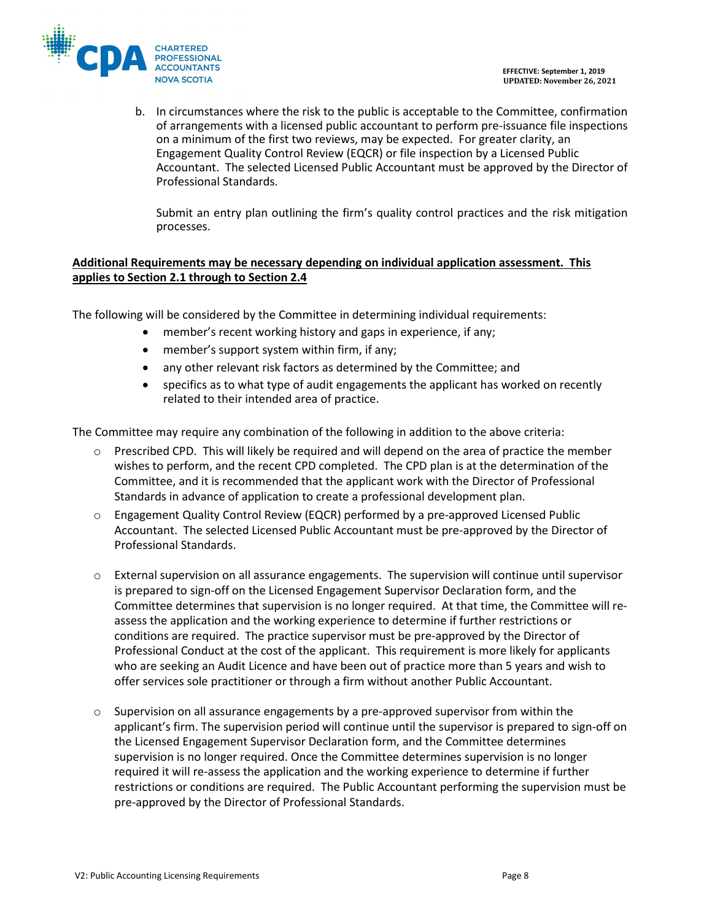

b. In circumstances where the risk to the public is acceptable to the Committee, confirmation of arrangements with a licensed public accountant to perform pre-issuance file inspections on a minimum of the first two reviews, may be expected. For greater clarity, an Engagement Quality Control Review (EQCR) or file inspection by a Licensed Public Accountant. The selected Licensed Public Accountant must be approved by the Director of Professional Standards.

Submit an entry plan outlining the firm's quality control practices and the risk mitigation processes.

## **Additional Requirements may be necessary depending on individual application assessment. This applies to Section 2.1 through to Section 2.4**

The following will be considered by the Committee in determining individual requirements:

- member's recent working history and gaps in experience, if any;
- member's support system within firm, if any;
- any other relevant risk factors as determined by the Committee; and
- specifics as to what type of audit engagements the applicant has worked on recently related to their intended area of practice.

The Committee may require any combination of the following in addition to the above criteria:

- $\circ$  Prescribed CPD. This will likely be required and will depend on the area of practice the member wishes to perform, and the recent CPD completed. The CPD plan is at the determination of the Committee, and it is recommended that the applicant work with the Director of Professional Standards in advance of application to create a professional development plan.
- o Engagement Quality Control Review (EQCR) performed by a pre-approved Licensed Public Accountant. The selected Licensed Public Accountant must be pre-approved by the Director of Professional Standards.
- o External supervision on all assurance engagements. The supervision will continue until supervisor is prepared to sign-off on the Licensed Engagement Supervisor Declaration form, and the Committee determines that supervision is no longer required. At that time, the Committee will reassess the application and the working experience to determine if further restrictions or conditions are required. The practice supervisor must be pre-approved by the Director of Professional Conduct at the cost of the applicant. This requirement is more likely for applicants who are seeking an Audit Licence and have been out of practice more than 5 years and wish to offer services sole practitioner or through a firm without another Public Accountant.
- $\circ$  Supervision on all assurance engagements by a pre-approved supervisor from within the applicant's firm. The supervision period will continue until the supervisor is prepared to sign-off on the Licensed Engagement Supervisor Declaration form, and the Committee determines supervision is no longer required. Once the Committee determines supervision is no longer required it will re-assess the application and the working experience to determine if further restrictions or conditions are required. The Public Accountant performing the supervision must be pre-approved by the Director of Professional Standards.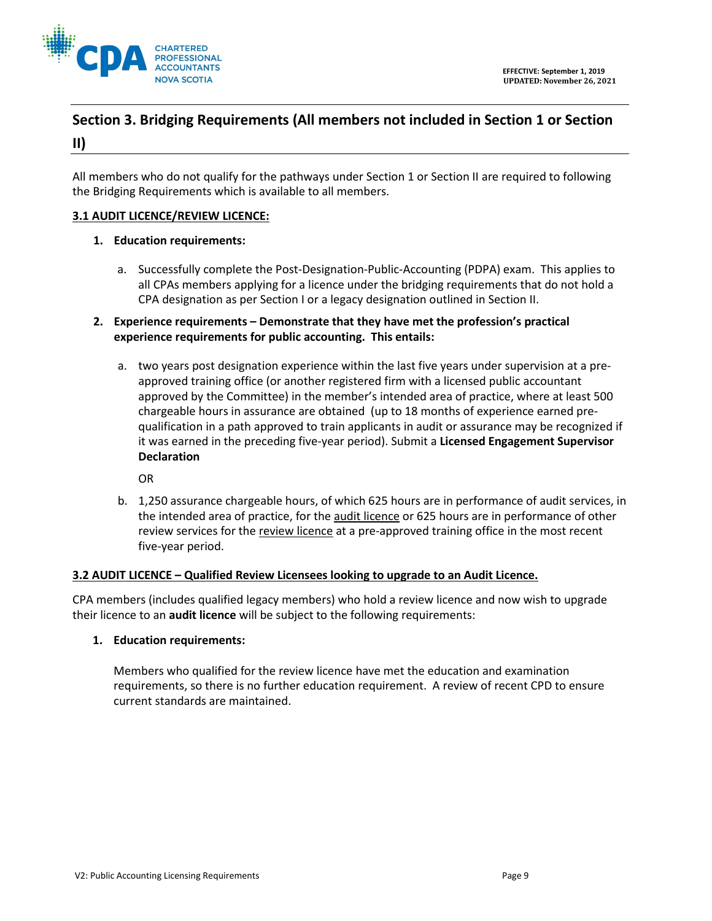

# **Section 3. Bridging Requirements (All members not included in Section 1 or Section II)**

All members who do not qualify for the pathways under Section 1 or Section II are required to following the Bridging Requirements which is available to all members.

## **3.1 AUDIT LICENCE/REVIEW LICENCE:**

### **1. Education requirements:**

- a. Successfully complete the Post-Designation-Public-Accounting (PDPA) exam. This applies to all CPAs members applying for a licence under the bridging requirements that do not hold a CPA designation as per Section I or a legacy designation outlined in Section II.
- **2. Experience requirements – Demonstrate that they have met the profession's practical experience requirements for public accounting. This entails:**
	- a. two years post designation experience within the last five years under supervision at a preapproved training office (or another registered firm with a licensed public accountant approved by the Committee) in the member's intended area of practice, where at least 500 chargeable hours in assurance are obtained (up to 18 months of experience earned prequalification in a path approved to train applicants in audit or assurance may be recognized if it was earned in the preceding five-year period). Submit a **Licensed Engagement Supervisor Declaration**

OR

b. 1,250 assurance chargeable hours, of which 625 hours are in performance of audit services, in the intended area of practice, for the audit licence or 625 hours are in performance of other review services for the review licence at a pre-approved training office in the most recent five-year period.

#### **3.2 AUDIT LICENCE – Qualified Review Licensees looking to upgrade to an Audit Licence.**

CPA members (includes qualified legacy members) who hold a review licence and now wish to upgrade their licence to an **audit licence** will be subject to the following requirements:

## **1. Education requirements:**

Members who qualified for the review licence have met the education and examination requirements, so there is no further education requirement. A review of recent CPD to ensure current standards are maintained.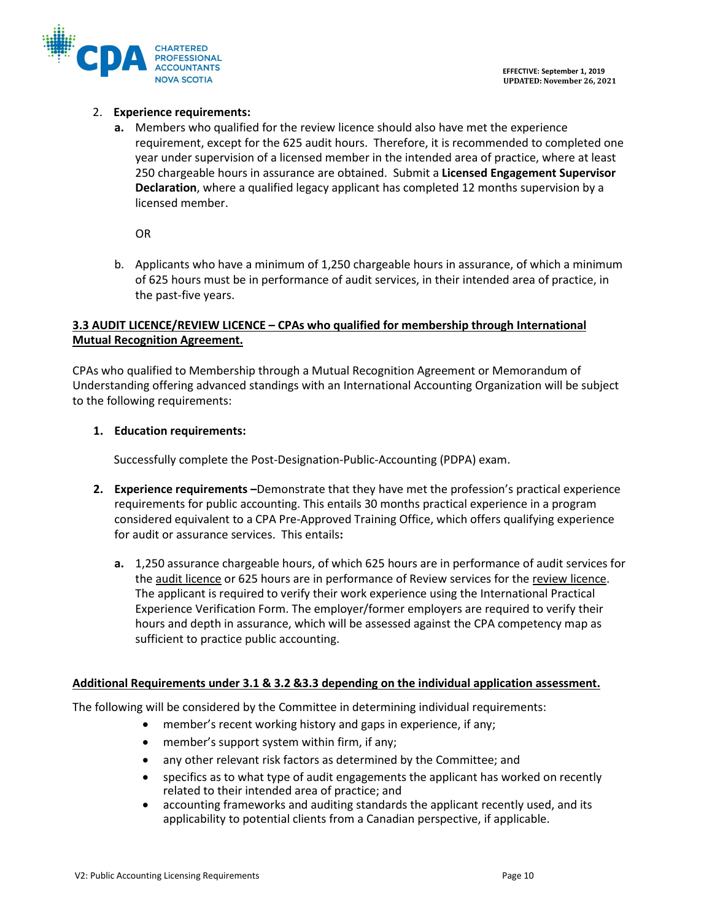

## 2. **Experience requirements:**

**a.** Members who qualified for the review licence should also have met the experience requirement, except for the 625 audit hours. Therefore, it is recommended to completed one year under supervision of a licensed member in the intended area of practice, where at least 250 chargeable hours in assurance are obtained. Submit a **Licensed Engagement Supervisor Declaration**, where a qualified legacy applicant has completed 12 months supervision by a licensed member.

OR

b. Applicants who have a minimum of 1,250 chargeable hours in assurance, of which a minimum of 625 hours must be in performance of audit services, in their intended area of practice, in the past-five years.

## **3.3 AUDIT LICENCE/REVIEW LICENCE – CPAs who qualified for membership through International Mutual Recognition Agreement.**

CPAs who qualified to Membership through a Mutual Recognition Agreement or Memorandum of Understanding offering advanced standings with an International Accounting Organization will be subject to the following requirements:

## **1. Education requirements:**

Successfully complete the Post-Designation-Public-Accounting (PDPA) exam.

- **2. Experience requirements –**Demonstrate that they have met the profession's practical experience requirements for public accounting. This entails 30 months practical experience in a program considered equivalent to a CPA Pre-Approved Training Office, which offers qualifying experience for audit or assurance services. This entails**:**
	- **a.** 1,250 assurance chargeable hours, of which 625 hours are in performance of audit services for the audit licence or 625 hours are in performance of Review services for the review licence. The applicant is required to verify their work experience using the International Practical Experience Verification Form. The employer/former employers are required to verify their hours and depth in assurance, which will be assessed against the CPA competency map as sufficient to practice public accounting.

## **Additional Requirements under 3.1 & 3.2 &3.3 depending on the individual application assessment.**

The following will be considered by the Committee in determining individual requirements:

- member's recent working history and gaps in experience, if any;
- member's support system within firm, if any;
- any other relevant risk factors as determined by the Committee; and
- specifics as to what type of audit engagements the applicant has worked on recently related to their intended area of practice; and
- accounting frameworks and auditing standards the applicant recently used, and its applicability to potential clients from a Canadian perspective, if applicable.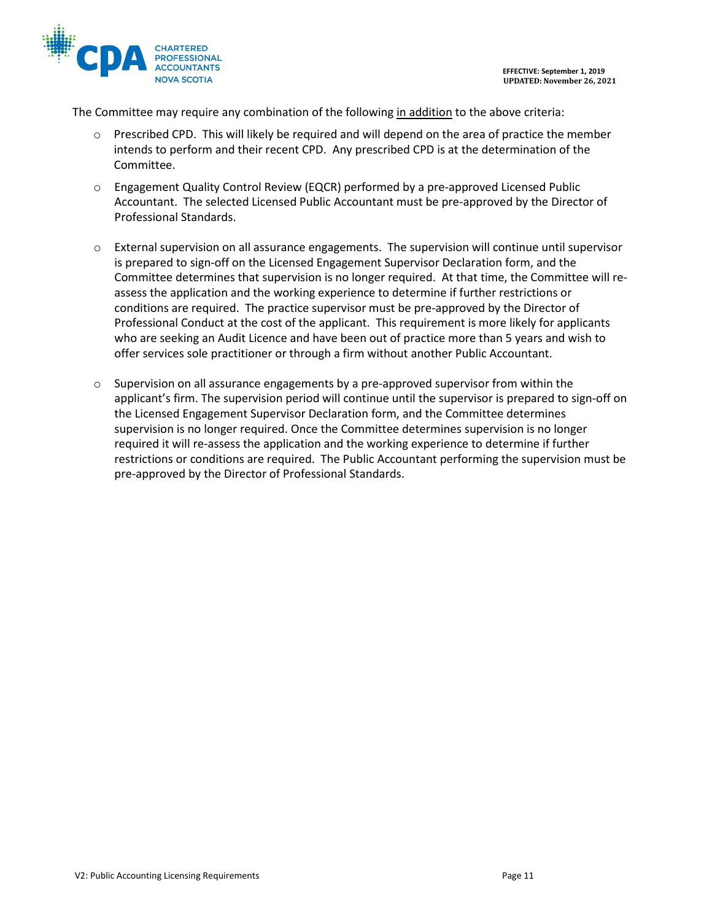



The Committee may require any combination of the following in addition to the above criteria:

- o Prescribed CPD. This will likely be required and will depend on the area of practice the member intends to perform and their recent CPD. Any prescribed CPD is at the determination of the Committee.
- $\circ$  Engagement Quality Control Review (EQCR) performed by a pre-approved Licensed Public Accountant. The selected Licensed Public Accountant must be pre-approved by the Director of Professional Standards.
- $\circ$  External supervision on all assurance engagements. The supervision will continue until supervisor is prepared to sign-off on the Licensed Engagement Supervisor Declaration form, and the Committee determines that supervision is no longer required. At that time, the Committee will reassess the application and the working experience to determine if further restrictions or conditions are required. The practice supervisor must be pre-approved by the Director of Professional Conduct at the cost of the applicant. This requirement is more likely for applicants who are seeking an Audit Licence and have been out of practice more than 5 years and wish to offer services sole practitioner or through a firm without another Public Accountant.
- $\circ$  Supervision on all assurance engagements by a pre-approved supervisor from within the applicant's firm. The supervision period will continue until the supervisor is prepared to sign-off on the Licensed Engagement Supervisor Declaration form, and the Committee determines supervision is no longer required. Once the Committee determines supervision is no longer required it will re-assess the application and the working experience to determine if further restrictions or conditions are required. The Public Accountant performing the supervision must be pre-approved by the Director of Professional Standards.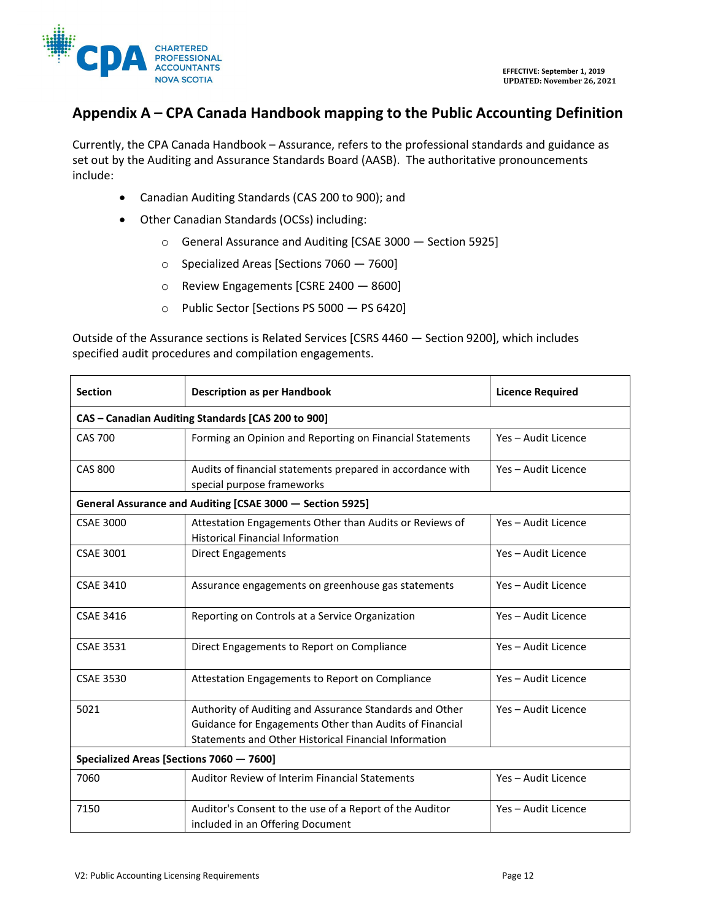

# **Appendix A – CPA Canada Handbook mapping to the Public Accounting Definition**

Currently, the CPA Canada Handbook – Assurance, refers to the professional standards and guidance as set out by the Auditing and Assurance Standards Board (AASB). The authoritative pronouncements include:

- Canadian Auditing Standards (CAS 200 to 900); and
- Other Canadian Standards (OCSs) including:
	- o [General Assurance and Auditing \[CSAE 3000 —](javascript:document.k5tree.onNodeTextClick(4952911)) Section 5925]
	- o [Specialized Areas \[Sections 7060 —](javascript:document.k5tree.onNodeTextClick(5599911)) 7600]
	- o [Review Engagements \[CSRE 2400 —](javascript:document.k5tree.onNodeTextClick(5865911)) 8600]
	- o [Public Sector \[Sections PS 5000 —](javascript:document.k5tree.onNodeTextClick(6104911)) PS 6420]

Outside of the Assurance sections is [Related Services \[CSRS 4460 —](javascript:document.k5tree.onNodeTextClick(3048911)) Section 9200], which includes specified audit procedures and compilation engagements.

| <b>Section</b>                                            | <b>Description as per Handbook</b>                                                                                                                                          | <b>Licence Required</b> |  |
|-----------------------------------------------------------|-----------------------------------------------------------------------------------------------------------------------------------------------------------------------------|-------------------------|--|
| CAS - Canadian Auditing Standards [CAS 200 to 900]        |                                                                                                                                                                             |                         |  |
| <b>CAS 700</b>                                            | Forming an Opinion and Reporting on Financial Statements                                                                                                                    | Yes - Audit Licence     |  |
| CAS 800                                                   | Audits of financial statements prepared in accordance with<br>special purpose frameworks                                                                                    | Yes - Audit Licence     |  |
| General Assurance and Auditing [CSAE 3000 - Section 5925] |                                                                                                                                                                             |                         |  |
| <b>CSAE 3000</b>                                          | Attestation Engagements Other than Audits or Reviews of<br><b>Historical Financial Information</b>                                                                          | Yes - Audit Licence     |  |
| <b>CSAE 3001</b>                                          | Direct Engagements                                                                                                                                                          | Yes - Audit Licence     |  |
| <b>CSAE 3410</b>                                          | Assurance engagements on greenhouse gas statements                                                                                                                          | Yes - Audit Licence     |  |
| <b>CSAE 3416</b>                                          | Reporting on Controls at a Service Organization                                                                                                                             | Yes - Audit Licence     |  |
| <b>CSAE 3531</b>                                          | Direct Engagements to Report on Compliance                                                                                                                                  | Yes - Audit Licence     |  |
| <b>CSAE 3530</b>                                          | Attestation Engagements to Report on Compliance                                                                                                                             | Yes - Audit Licence     |  |
| 5021                                                      | Authority of Auditing and Assurance Standards and Other<br>Guidance for Engagements Other than Audits of Financial<br>Statements and Other Historical Financial Information | Yes - Audit Licence     |  |
| Specialized Areas [Sections 7060 - 7600]                  |                                                                                                                                                                             |                         |  |
| 7060                                                      | Auditor Review of Interim Financial Statements                                                                                                                              | Yes - Audit Licence     |  |
| 7150                                                      | Auditor's Consent to the use of a Report of the Auditor<br>included in an Offering Document                                                                                 | Yes - Audit Licence     |  |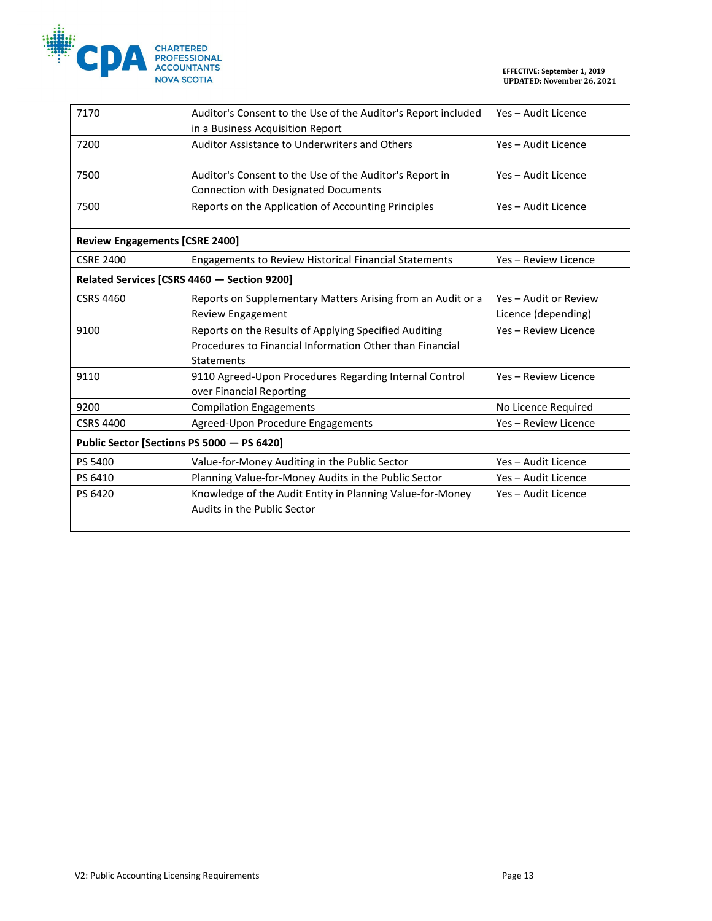

| 7170                                        | Auditor's Consent to the Use of the Auditor's Report included | Yes - Audit Licence   |  |
|---------------------------------------------|---------------------------------------------------------------|-----------------------|--|
|                                             | in a Business Acquisition Report                              |                       |  |
| 7200                                        | Auditor Assistance to Underwriters and Others                 | Yes - Audit Licence   |  |
| 7500                                        | Auditor's Consent to the Use of the Auditor's Report in       | Yes - Audit Licence   |  |
|                                             | Connection with Designated Documents                          |                       |  |
| 7500                                        | Reports on the Application of Accounting Principles           | Yes - Audit Licence   |  |
| <b>Review Engagements [CSRE 2400]</b>       |                                                               |                       |  |
| <b>CSRE 2400</b>                            | <b>Engagements to Review Historical Financial Statements</b>  | Yes - Review Licence  |  |
| Related Services [CSRS 4460 - Section 9200] |                                                               |                       |  |
| <b>CSRS 4460</b>                            | Reports on Supplementary Matters Arising from an Audit or a   | Yes - Audit or Review |  |
|                                             | <b>Review Engagement</b>                                      | Licence (depending)   |  |
| 9100                                        | Reports on the Results of Applying Specified Auditing         | Yes - Review Licence  |  |
|                                             | Procedures to Financial Information Other than Financial      |                       |  |
|                                             | Statements                                                    |                       |  |
| 9110                                        | 9110 Agreed-Upon Procedures Regarding Internal Control        | Yes - Review Licence  |  |
|                                             | over Financial Reporting                                      |                       |  |
| 9200                                        | <b>Compilation Engagements</b>                                | No Licence Required   |  |
| <b>CSRS 4400</b>                            | Agreed-Upon Procedure Engagements                             | Yes - Review Licence  |  |
| Public Sector [Sections PS 5000 - PS 6420]  |                                                               |                       |  |
| PS 5400                                     | Value-for-Money Auditing in the Public Sector                 | Yes - Audit Licence   |  |
| PS 6410                                     | Planning Value-for-Money Audits in the Public Sector          | Yes - Audit Licence   |  |
| PS 6420                                     | Knowledge of the Audit Entity in Planning Value-for-Money     | Yes - Audit Licence   |  |
|                                             | Audits in the Public Sector                                   |                       |  |
|                                             |                                                               |                       |  |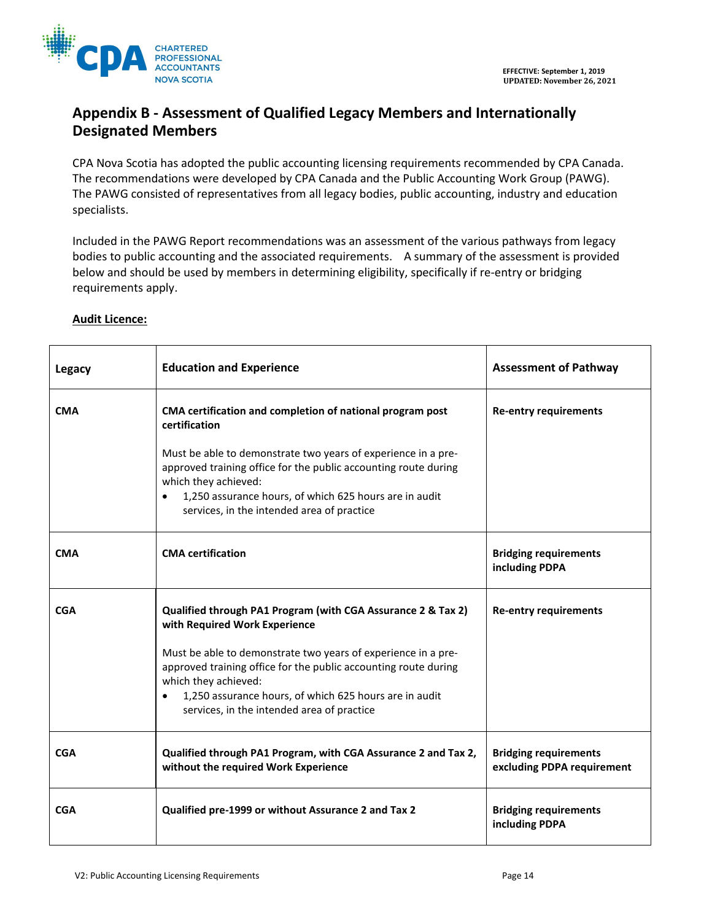

# **Appendix B - Assessment of Qualified Legacy Members and Internationally Designated Members**

CPA Nova Scotia has adopted the public accounting licensing requirements recommended by CPA Canada. The recommendations were developed by CPA Canada and the Public Accounting Work Group (PAWG). The PAWG consisted of representatives from all legacy bodies, public accounting, industry and education specialists.

Included in the PAWG Report recommendations was an assessment of the various pathways from legacy bodies to public accounting and the associated requirements. A summary of the assessment is provided below and should be used by members in determining eligibility, specifically if re-entry or bridging requirements apply.

| <b>Legacy</b> | <b>Education and Experience</b>                                                                                                                                                                                                                                                                                                                                                | <b>Assessment of Pathway</b>                               |
|---------------|--------------------------------------------------------------------------------------------------------------------------------------------------------------------------------------------------------------------------------------------------------------------------------------------------------------------------------------------------------------------------------|------------------------------------------------------------|
| <b>CMA</b>    | CMA certification and completion of national program post<br>certification<br>Must be able to demonstrate two years of experience in a pre-<br>approved training office for the public accounting route during<br>which they achieved:<br>1,250 assurance hours, of which 625 hours are in audit<br>$\bullet$<br>services, in the intended area of practice                    | <b>Re-entry requirements</b>                               |
| <b>CMA</b>    | <b>CMA</b> certification                                                                                                                                                                                                                                                                                                                                                       | <b>Bridging requirements</b><br>including PDPA             |
| <b>CGA</b>    | Qualified through PA1 Program (with CGA Assurance 2 & Tax 2)<br>with Required Work Experience<br>Must be able to demonstrate two years of experience in a pre-<br>approved training office for the public accounting route during<br>which they achieved:<br>1,250 assurance hours, of which 625 hours are in audit<br>$\bullet$<br>services, in the intended area of practice | <b>Re-entry requirements</b>                               |
| <b>CGA</b>    | Qualified through PA1 Program, with CGA Assurance 2 and Tax 2,<br>without the required Work Experience                                                                                                                                                                                                                                                                         | <b>Bridging requirements</b><br>excluding PDPA requirement |
| <b>CGA</b>    | Qualified pre-1999 or without Assurance 2 and Tax 2                                                                                                                                                                                                                                                                                                                            | <b>Bridging requirements</b><br>including PDPA             |

## **Audit Licence:**